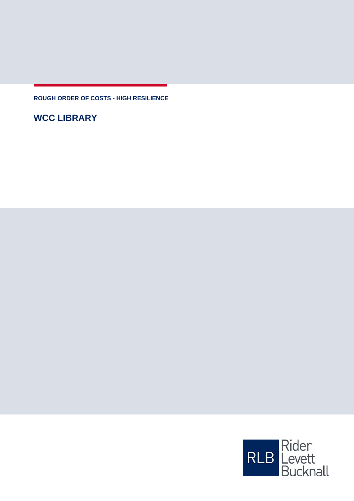**ROUGH ORDER OF COSTS - HIGH RESILIENCE**

**WCC LIBRARY**

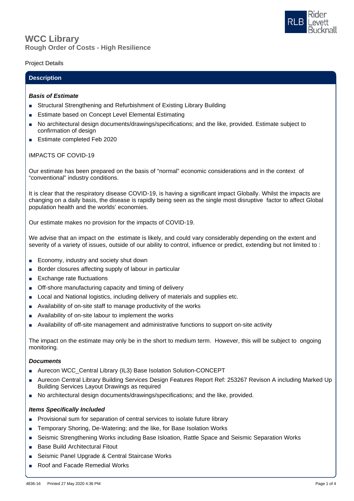

# **Rough Order of Costs - High Resilience WCC Library**

## Project Details

## **Description**

### *Basis of Estimate*

- Structural Strengthening and Refurbishment of Existing Library Building
- Estimate based on Concept Level Elemental Estimating
- No architectural design documents/drawings/specifications; and the like, provided. Estimate subject to confirmation of design
- Estimate completed Feb 2020

## IMPACTS OF COVID-19

Our estimate has been prepared on the basis of "normal" economic considerations and in the context of "conventional" industry conditions.

It is clear that the respiratory disease COVID-19, is having a significant impact Globally. Whilst the impacts are changing on a daily basis, the disease is rapidly being seen as the single most disruptive factor to affect Global population health and the worlds' economies.

Our estimate makes no provision for the impacts of COVID-19.

We advise that an impact on the estimate is likely, and could vary considerably depending on the extent and severity of a variety of issues, outside of our ability to control, influence or predict, extending but not limited to :

- Economy, industry and society shut down
- Border closures affecting supply of labour in particular
- Exchange rate fluctuations
- Off-shore manufacturing capacity and timing of delivery
- Local and National logistics, including delivery of materials and supplies etc.
- Availability of on-site staff to manage productivity of the works
- Availability of on-site labour to implement the works
- Availability of off-site management and administrative functions to support on-site activity

The impact on the estimate may only be in the short to medium term. However, this will be subject to ongoing monitoring.

## *Documents*

- Aurecon WCC\_Central Library (IL3) Base Isolation Solution-CONCEPT
- Aurecon Central Library Building Services Design Features Report Ref: 253267 Revison A including Marked Up Building Services Layout Drawings as required
- No architectural design documents/drawings/specifications; and the like, provided.

#### *Items Specifically Included*

- Provisional sum for separation of central services to isolate future library
- Temporary Shoring, De-Watering; and the like, for Base Isolation Works
- Seismic Strengthening Works including Base Isloation, Rattle Space and Seismic Separation Works
- Base Build Architectural Fitout
- Seismic Panel Upgrade & Central Staircase Works
- Roof and Facade Remedial Works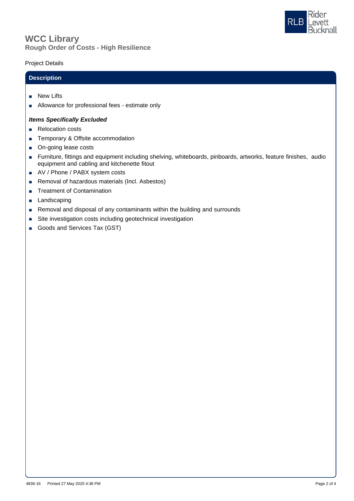



# Project Details

# **Description**

- New Lifts
- Allowance for professional fees estimate only

### *Items Specifically Excluded*

- Relocation costs
- Temporary & Offsite accommodation
- On-going lease costs
- Furniture, fittings and equipment including shelving, whiteboards, pinboards, artworks, feature finishes, audio equipment and cabling and kitchenette fitout
- AV / Phone / PABX system costs
- Removal of hazardous materials (Incl. Asbestos)
- Treatment of Contamination
- Landscaping
- Removal and disposal of any contaminants within the building and surrounds
- Site investigation costs including geotechnical investigation
- Goods and Services Tax (GST)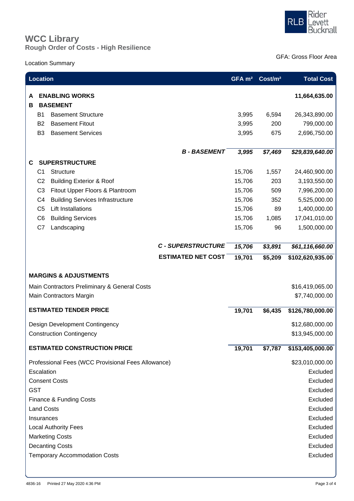

# **Rough Order of Costs - High Resilience WCC Library**

# Location Summary

GFA: Gross Floor Area

| <b>Location</b>                                    |                |                                          |                           | GFA m <sup>2</sup> | Cost/m <sup>2</sup> | <b>Total Cost</b>       |
|----------------------------------------------------|----------------|------------------------------------------|---------------------------|--------------------|---------------------|-------------------------|
| A<br>в                                             |                | <b>ENABLING WORKS</b><br><b>BASEMENT</b> |                           |                    |                     | 11,664,635.00           |
|                                                    | B1             | <b>Basement Structure</b>                |                           | 3,995              | 6,594               | 26,343,890.00           |
|                                                    | B <sub>2</sub> | <b>Basement Fitout</b>                   |                           | 3,995              | 200                 | 799,000.00              |
|                                                    | B <sub>3</sub> | <b>Basement Services</b>                 |                           | 3,995              | 675                 | 2,696,750.00            |
|                                                    |                |                                          | <b>B-BASEMENT</b>         | 3,995              | \$7,469             | \$29,839,640.00         |
| C                                                  |                | <b>SUPERSTRUCTURE</b>                    |                           |                    |                     |                         |
|                                                    | C <sub>1</sub> | Structure                                |                           | 15,706             | 1,557               | 24,460,900.00           |
|                                                    | C <sub>2</sub> | <b>Building Exterior &amp; Roof</b>      |                           | 15,706             | 203                 | 3,193,550.00            |
|                                                    | C <sub>3</sub> | Fitout Upper Floors & Plantroom          |                           | 15,706             | 509                 | 7,996,200.00            |
|                                                    | C <sub>4</sub> | <b>Building Services Infrastructure</b>  |                           | 15,706             | 352                 | 5,525,000.00            |
|                                                    | C <sub>5</sub> | <b>Lift Installations</b>                |                           | 15,706             | 89                  | 1,400,000.00            |
|                                                    | C <sub>6</sub> | <b>Building Services</b>                 |                           | 15,706             | 1,085               | 17,041,010.00           |
|                                                    | C7             | Landscaping                              |                           | 15,706             | 96                  | 1,500,000.00            |
|                                                    |                |                                          | <b>C - SUPERSTRUCTURE</b> | 15,706             | \$3,891             | $\sqrt{$61,116,660.00}$ |
|                                                    |                |                                          | <b>ESTIMATED NET COST</b> | 19,701             | \$5,209             | \$102,620,935.00        |
| <b>MARGINS &amp; ADJUSTMENTS</b>                   |                |                                          |                           |                    |                     |                         |
| Main Contractors Preliminary & General Costs       |                |                                          |                           |                    |                     | \$16,419,065.00         |
| Main Contractors Margin                            |                |                                          |                           |                    |                     | \$7,740,000.00          |
| <b>ESTIMATED TENDER PRICE</b>                      |                |                                          |                           | 19,701             | \$6,435             | \$126,780,000.00        |
| Design Development Contingency                     |                |                                          |                           |                    |                     | \$12,680,000.00         |
| <b>Construction Contingency</b>                    |                |                                          |                           |                    |                     | \$13,945,000.00         |
| <b>ESTIMATED CONSTRUCTION PRICE</b>                |                |                                          |                           |                    | \$7,787             | \$153,405,000.00        |
| Professional Fees (WCC Provisional Fees Allowance) |                |                                          |                           |                    |                     | \$23,010,000.00         |
| Escalation                                         |                |                                          |                           |                    |                     | Excluded                |
| <b>Consent Costs</b>                               |                |                                          |                           |                    |                     | Excluded                |
| <b>GST</b>                                         |                |                                          |                           |                    |                     | Excluded                |
| Finance & Funding Costs                            |                |                                          |                           |                    |                     | Excluded                |
| <b>Land Costs</b>                                  |                |                                          |                           |                    |                     | Excluded                |
| Insurances                                         |                |                                          |                           |                    |                     | Excluded                |
| <b>Local Authority Fees</b>                        |                |                                          |                           |                    |                     | Excluded                |
| <b>Marketing Costs</b>                             |                |                                          |                           |                    |                     | Excluded                |
| <b>Decanting Costs</b>                             |                |                                          |                           |                    | Excluded            |                         |
| <b>Temporary Accommodation Costs</b>               |                |                                          |                           |                    |                     | Excluded                |